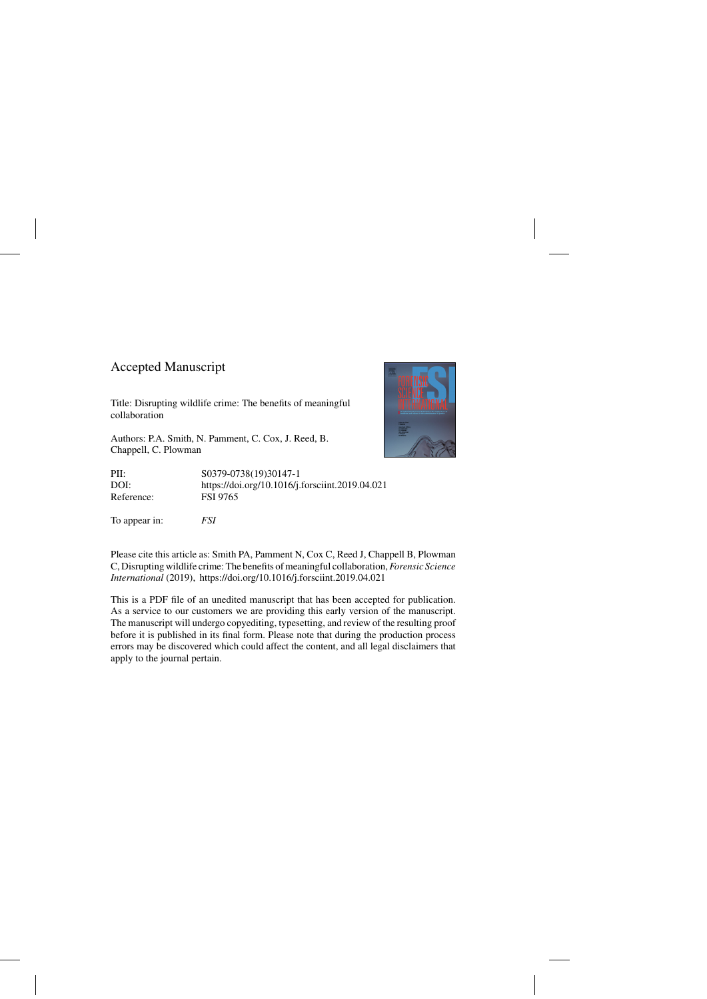## Accepted Manuscript

Title: Disrupting wildlife crime: The benefits of meaningful collaboration

Authors: P.A. Smith, N. Pamment, C. Cox, J. Reed, B. Chappell, C. Plowman

PII: S0379-0738(19)30147-1 DOI:<https://doi.org/10.1016/j.forsciint.2019.04.021> Reference: FSI 9765

To appear in: *FSI*



Please cite this article as: Smith PA, Pamment N, Cox C, Reed J, Chappell B, Plowman C, Disrupting wildlife crime: The benefits of meaningful collaboration,*Forensic Science International* (2019),<https://doi.org/10.1016/j.forsciint.2019.04.021>

This is a PDF file of an unedited manuscript that has been accepted for publication. As a service to our customers we are providing this early version of the manuscript. The manuscript will undergo copyediting, typesetting, and review of the resulting proof before it is published in its final form. Please note that during the production process errors may be discovered which could affect the content, and all legal disclaimers that apply to the journal pertain.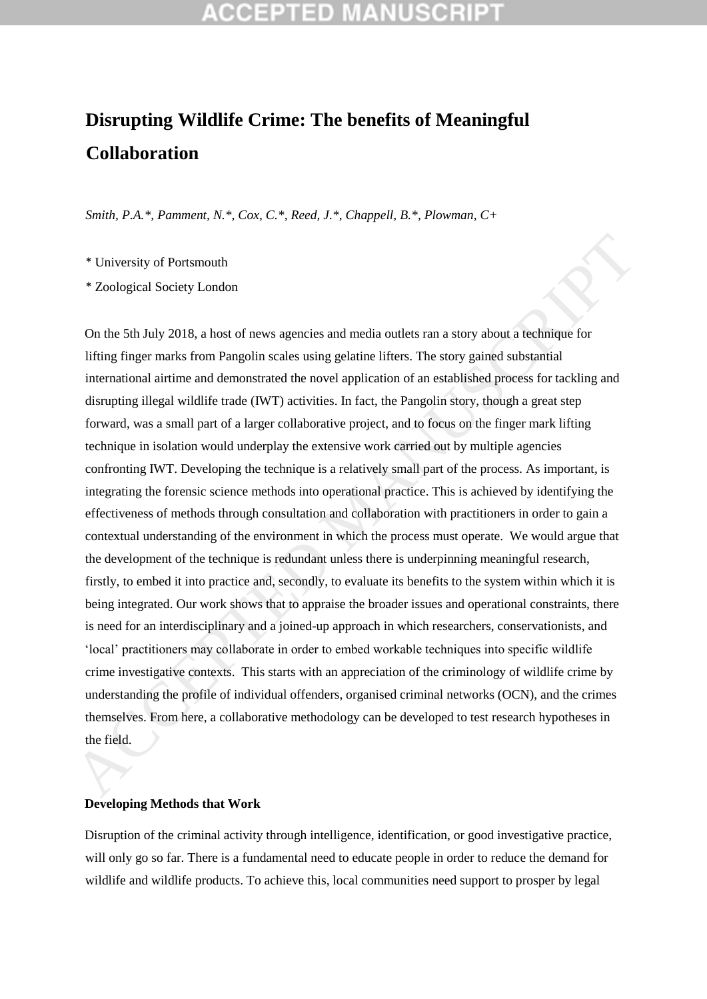# **Disrupting Wildlife Crime: The benefits of Meaningful Collaboration**

*Smith, P.A.\*, Pamment, N.\*, Cox, C.\*, Reed, J.\*, Chappell, B.\*, Plowman, C+* 

\* University of Portsmouth

\* Zoological Society London

On the 5th July 2018, a host of news agencies and media outlets ran a story about a technique for lifting finger marks from Pangolin scales using gelatine lifters. The story gained substantial international airtime and demonstrated the novel application of an established process for tackling and disrupting illegal wildlife trade (IWT) activities. In fact, the Pangolin story, though a great step forward, was a small part of a larger collaborative project, and to focus on the finger mark lifting technique in isolation would underplay the extensive work carried out by multiple agencies confronting IWT. Developing the technique is a relatively small part of the process. As important, is integrating the forensic science methods into operational practice. This is achieved by identifying the effectiveness of methods through consultation and collaboration with practitioners in order to gain a contextual understanding of the environment in which the process must operate. We would argue that the development of the technique is redundant unless there is underpinning meaningful research, firstly, to embed it into practice and, secondly, to evaluate its benefits to the system within which it is being integrated. Our work shows that to appraise the broader issues and operational constraints, there is need for an interdisciplinary and a joined-up approach in which researchers, conservationists, and 'local' practitioners may collaborate in order to embed workable techniques into specific wildlife crime investigative contexts. This starts with an appreciation of the criminology of wildlife crime by understanding the profile of individual offenders, organised criminal networks (OCN), and the crimes themselves. From here, a collaborative methodology can be developed to test research hypotheses in the field. **\*** University of Portsmouth<br> **\*** Zoological Society London<br> **Co** the 5th July 2018, a bost of news agencies and media outlets ran a story about a technique for<br>
lifting finger marks from Pangolin scales using gelatine li

### **Developing Methods that Work**

Disruption of the criminal activity through intelligence, identification, or good investigative practice, will only go so far. There is a fundamental need to educate people in order to reduce the demand for wildlife and wildlife products. To achieve this, local communities need support to prosper by legal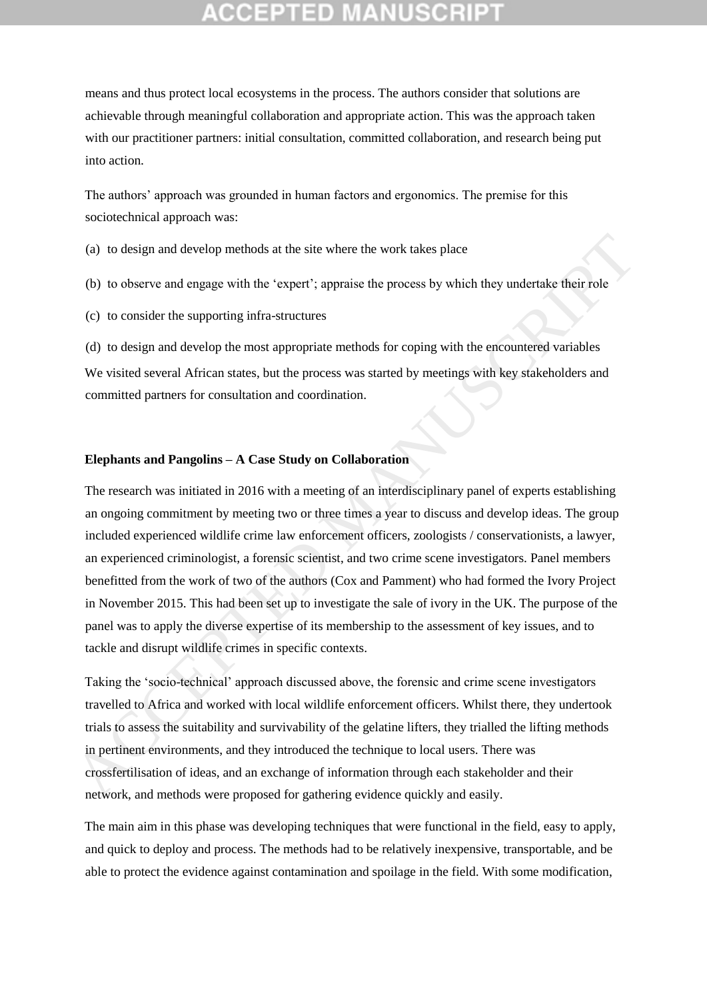means and thus protect local ecosystems in the process. The authors consider that solutions are achievable through meaningful collaboration and appropriate action. This was the approach taken with our practitioner partners: initial consultation, committed collaboration, and research being put into action.

The authors' approach was grounded in human factors and ergonomics. The premise for this sociotechnical approach was:

(a) to design and develop methods at the site where the work takes place

- (b) to observe and engage with the 'expert'; appraise the process by which they undertake their role
- (c) to consider the supporting infra-structures

(d) to design and develop the most appropriate methods for coping with the encountered variables We visited several African states, but the process was started by meetings with key stakeholders and committed partners for consultation and coordination.

### **Elephants and Pangolins – A Case Study on Collaboration**

The research was initiated in 2016 with a meeting of an interdisciplinary panel of experts establishing an ongoing commitment by meeting two or three times a year to discuss and develop ideas. The group included experienced wildlife crime law enforcement officers, zoologists / conservationists, a lawyer, an experienced criminologist, a forensic scientist, and two crime scene investigators. Panel members benefitted from the work of two of the authors (Cox and Pamment) who had formed the Ivory Project in November 2015. This had been set up to investigate the sale of ivory in the UK. The purpose of the panel was to apply the diverse expertise of its membership to the assessment of key issues, and to tackle and disrupt wildlife crimes in specific contexts. (a) to design and develop methods at the site where the work takes place<br>
(b) to observe and engage with the 'expert'; appraise the process by which they undertake their role<br>
(c) to consider the supporting infra-structur

Taking the 'socio-technical' approach discussed above, the forensic and crime scene investigators travelled to Africa and worked with local wildlife enforcement officers. Whilst there, they undertook trials to assess the suitability and survivability of the gelatine lifters, they trialled the lifting methods in pertinent environments, and they introduced the technique to local users. There was crossfertilisation of ideas, and an exchange of information through each stakeholder and their network, and methods were proposed for gathering evidence quickly and easily.

The main aim in this phase was developing techniques that were functional in the field, easy to apply, and quick to deploy and process. The methods had to be relatively inexpensive, transportable, and be able to protect the evidence against contamination and spoilage in the field. With some modification,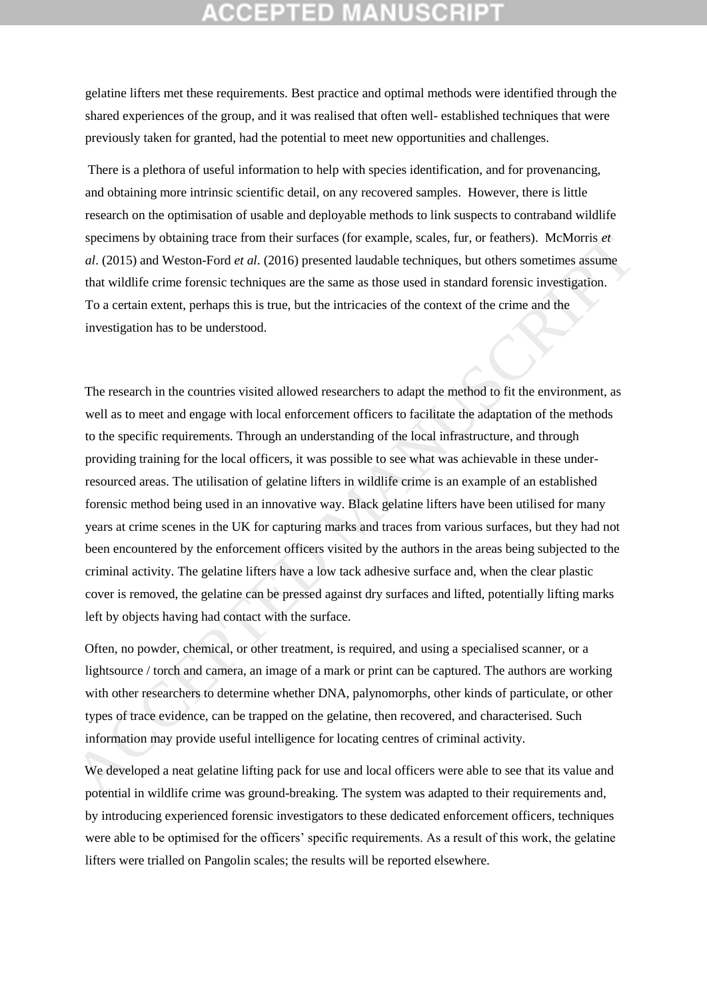## CCEPTED MANUSCRI

gelatine lifters met these requirements. Best practice and optimal methods were identified through the shared experiences of the group, and it was realised that often well- established techniques that were previously taken for granted, had the potential to meet new opportunities and challenges.

There is a plethora of useful information to help with species identification, and for provenancing, and obtaining more intrinsic scientific detail, on any recovered samples. However, there is little research on the optimisation of usable and deployable methods to link suspects to contraband wildlife specimens by obtaining trace from their surfaces (for example, scales, fur, or feathers). McMorris *et al*. (2015) and Weston-Ford *et al*. (2016) presented laudable techniques, but others sometimes assume that wildlife crime forensic techniques are the same as those used in standard forensic investigation. To a certain extent, perhaps this is true, but the intricacies of the context of the crime and the investigation has to be understood.

The research in the countries visited allowed researchers to adapt the method to fit the environment, as well as to meet and engage with local enforcement officers to facilitate the adaptation of the methods to the specific requirements. Through an understanding of the local infrastructure, and through providing training for the local officers, it was possible to see what was achievable in these underresourced areas. The utilisation of gelatine lifters in wildlife crime is an example of an established forensic method being used in an innovative way. Black gelatine lifters have been utilised for many years at crime scenes in the UK for capturing marks and traces from various surfaces, but they had not been encountered by the enforcement officers visited by the authors in the areas being subjected to the criminal activity. The gelatine lifters have a low tack adhesive surface and, when the clear plastic cover is removed, the gelatine can be pressed against dry surfaces and lifted, potentially lifting marks left by objects having had contact with the surface. specimens by obtaining trace from their surfaces (for example, scales, fur, or feathers). MeMorris et<br>
al. (2015) and Weston-Ford et al. (2016) presented laadable lechniques and that wildlife crime forencie techniques are

Often, no powder, chemical, or other treatment, is required, and using a specialised scanner, or a lightsource / torch and camera, an image of a mark or print can be captured. The authors are working with other researchers to determine whether DNA, palynomorphs, other kinds of particulate, or other types of trace evidence, can be trapped on the gelatine, then recovered, and characterised. Such information may provide useful intelligence for locating centres of criminal activity.

We developed a neat gelatine lifting pack for use and local officers were able to see that its value and potential in wildlife crime was ground-breaking. The system was adapted to their requirements and, by introducing experienced forensic investigators to these dedicated enforcement officers, techniques were able to be optimised for the officers' specific requirements. As a result of this work, the gelatine lifters were trialled on Pangolin scales; the results will be reported elsewhere.